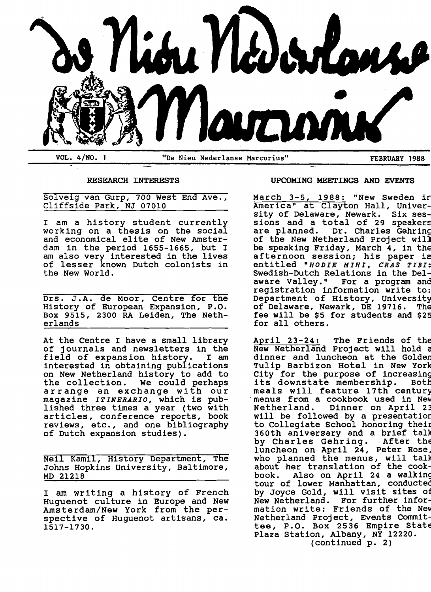

### RESEARCH INTERESTS

Solveig van Gurp, 700 West End Ave., Cliffside Park, NJ 07010

<sup>I</sup>am a history student currently working on a thesis on the social and economical elite of New Amsterdam in the period 1655-1665, but <sup>I</sup> am also very interested in the lives of lesser known Dutch colonists in the New World.

Drs. J.A. de Moor, Centre for the History of European Expansion, P.O. Box 9515, 2300 RA Leiden, The Netherlands

At the Centre I have a small library<br>of journals and newsletters in the<br>field of expansion history. I am field of expansion history. interested in obtaining publications on New Netherland history to add to the collection. We could perhaps arrange an exchange with our magazine *ITINERARIO,* which is published three times a year (two with articles, conference reports, book reviews, etc., and one bibliography of Dutch expansion studies).

Neil Kamil, History Department, The Johns Hopkins university, Baltimore, MD 21218

<sup>I</sup>am writing a history of French Huguenot culture in Europe and New Amsterdam/New York from the per-<br>spective of Huguenot artisans, ca. 1517-1730.

### UPCOMING MEETINGS AND EVENTS

March 3-5, 1988: "New Sweden ir America" at Clayton Hall, University of Delaware, Newark. Six sessions and a total of 29 speakers<br>are planned. Dr. Charles Gehrino Dr. Charles Gehring of the New Netherland project will be speaking Friday, March 4, in the afternoon session; his paper is entitled *"BODIE MIBI, eRAS TIBI:*  Swedish-Dutch Relations in the Delaware Valley." For a program and registration information write to: Department of History, University of Delaware, Newark, DE 19716. The fee will be \$5 for students and \$25 for all others.

April 23-24: The Friends of the New Netherland Project will hold c dinner and luncheon at the Golden Tulip Barbizon Hotel in New York City for the purpose of increasing<br>its downstate membership. Both meals will feature 17th century menus from a cookbook used in New Netherland. Dinner on April 23 will be followed by a presentatior. to Collegiate School honoring their 360th aniversary and a brief talk by Charles Gehring. After the luncheon on April 24, Peter Rose, who planned the menus, will talk about her translation of the cookbook. Also on April 24 a walking tour of lower Manhattan, conductec by Joyce Gold, will visit sites of New Netherland. For further information write: Friends of the New Netherland Project, Events Committee, P.o. Box 2536 Empire State plaza Station, Albany, NY 12220. (continued p. 2)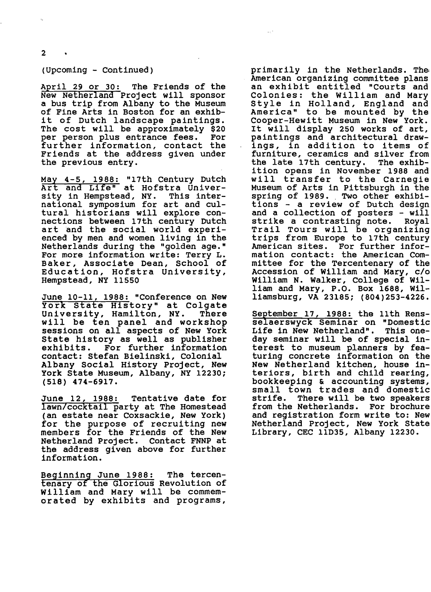2

### (Upcoming - Continued)

April 29 or 30: The Friends of the New Netherland Project will sponsor a bus trip from Albany to the Museum of Fine Arts in Boston for an exhib-<br>it of Dutch landscape paintings. The cost will be approximately \$20<br>per person plus entrance fees. For per person plus entrance fees. further information, contact the Friends at the address given under the previous entry.

May 4-5, 1988: "17th Century Dutch Art and Life" at Hofstra Univer-<br>sity in Hempstead, NY. This intersity in Hempstead, NY. national symposium for art and cultural historians will explore connections between 17th century Dutch art and the social world experi-<br>enced by men and women living in the Netherlands during the "golden age." For more information write: Terry L. Baker, Associate Dean, School of Education, Hofstra University, Hempstead, NY 11550

June 10-11, 1988: "Conference on New York State History" at Colgate<br>University, Hamilton, NY. There<br>will be ten panel and workshop sessions on all aspects of New York State history as well as publisher exhibits. For further information contact: Stefan Bielinski, Colonial Albany Social History Project, New York State Museum, Albany, NY 12230; (518) 474-6917.

June 12, 1988: Tentative date for lawn/cocktail party at The Homestead (an estate near Coxsackie, New York) for the purpose of recruiting new members for the Friends of the New Netherland Project. Contact FNNP at the address given above for further information.

Beginning June 1988: The tercentenary of the Glorious Revolution of William and Mary will be commemorated by exhibits and programs,

primarily in the Netherlands. The American organizing committee plans an exhibit entitled "Courts and<br>Colonies: the William and Mary Style in Holland, England and America" to be mounted by the Cooper-Hewitt Museum in New York. It will display 250 works of art, paintings and architectural drawings, in addition to items of furniture, ceramics and silver from<br>the late 17th century. The exhibthe late 17th century. ition opens in November 1988 and will transfer to the Carnegie Museum of Arts in Pittsburgh in the spring of 1989. Two other exhibi-<br>tions - a review of Dutch design and a collection of posters - will strike a contrasting note. Royal Trail Tours will be organizing trips from Europe to 17th century American sites. For further information contact: the American Committee for the Tercentenary of the Accession of William and Mary, c/o William N. walker, College of William and Mary, P.O. Box 1688, Williamsburg, VA 23185; (804)253-4226.

September 17, 1988: the 11th Rensselaerswyck Seminar on "Domestic Life in New Netherland". This oneday seminar will be of special interest to museum planners by featuring concrete information on the New Netherland kitchen, house in-<br>teriors, birth and child rearing, bookkeeping & accounting systems,<br>small town trades and domestic<br>strife. There will be two speakers from the Netherlands. For brochure and registration form write to: New Netherland Project, New York State Library, CEC 11D35, Albany 12230.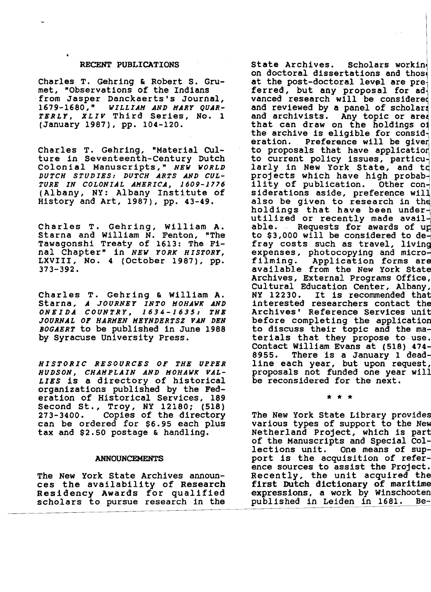### RECENT PUBLICATIONS

Charles T. Gehring & Robert S. Grumet, "Observations of the Indians from Jasper Danckaerts's Journal,<br>1679-1680," WILLIAM AND MARY QUAR-*1679-1680," WILLIAH AND HARY QUAR-TERLY, XLIV* Third Series, No. 1 (January 1987), pp. 104-120.

Charles T. Gehring, "Material CUlture in Seventeenth-Century Dutch Colonial Manuscripts," *NEW WORLD DUTCH STUDIES: DUTCH ARTS AND CUL-TURE IN COLONIAL AHERICA, 1609-1776*  (Albany, NY: Albany Institute of History and Art, 1987), pp. 43-49.

Charles T. Gehring, William A. Starna and William N. Fenton, Tawagonshi Treaty of 1613: The Final Chapter" in *NEW YORK HISTORY,*  LXVIII, NO.4 (October 1987), pp. 373-392.

Charles T. Gehring & William A. starna, *A JOURNEY INTO HOHAWK AND ONEIDA COUNTRY,* 1634-1635: *THE JOURNAL OF HARMEN HEYNDERTSZ VAN DEN BOGAERT* to be published in June 1988 by Syracuse University Press.

*HISTORIC RESOURCES OF THE UPPER HUDSON, CHAHPLAIN AND HOHAWK VAL-LIES* is a directory of historical organizations published by the Federation of Historical Services, 189 eration of Historical Services, 189<br>Second St., Troy, NY 12180; (518) 273-3400. Copies of the directory can be ordered for \$6.95 each plus tax and \$2.50 postage & handling.

#### ANNOUNCEMENTS

The New York State Archives announces the availability of Research Residency Awards for qualified scholars to pursue research in the

that can draw on the holdings of State Archives. Scholars workin on doctoral dissertations and those<br>at the post-doctoral level are preferred, but any proposal for ad vanced research will be considere and reviewed by a panel of scholar and archivists. Any topic or are the archive is eligible for consideration. Preference will be give to proposals that have application<br>to current policy issues, particularly in New York State, and to projects which have high probab-<br>ility of publication. Other considerations aside, preference wil also be given to research in the anso be given to research in the utilized or recently made avail able. Requests for awards of up to \$3,000 will be considered to de fray costs such as travel, living expenses, photocopying and micro filming. Application forms are available from the New York State Archives, External Programs Office, Cultural Education Center, Albany, NY 12230. It is recommended that interested researchers contact the Archives' Reference Services unit before completing the application to discuss their topic and the materials that they propose to use. Contact William Evans at (518) 474 edition of the state of the state of the state of the state of the state of the state of the state of the state of the state of the state of the state of the state of the state of the state of the state of the state of the <sup>1</sup>ine each year, but upon request, proposals not funded one year will proposals not funded one year will<br>be reconsidered for the next.

\* \* \*

The New York State Library provides various types of support to the New Netherland Project, which is part of the Manuscripts and Special Collections unit. One means of support is the acquisition of reference sources to assist the Project. Recently, the unit acquired the first Dutch dictionary of maritime expressions, a work by Winschooten<br>published in Leiden in 1681. Bepublished in Leiden in 1681.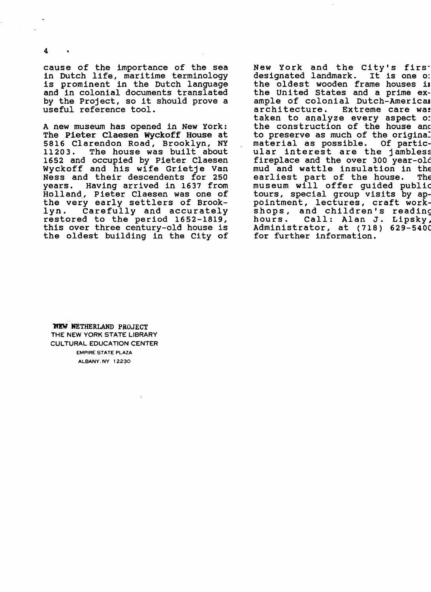cause of the importance of the sea in Dutch life, maritime terminology is prominent in the Dutch language and in colonial documents translated by the Project, so it should prove a useful reference tool.

A new museum has opened in New York: The Pieter Claesen Wyckoff House at 5816 Clarendon Road, Brooklyn, NY<br>11203. The house was built about The house was built about 1652 and occupied by Pieter Claesen Wyckoff and his wife Grietje Van Ness and their descendents for 250<br>vears. Having arrived in 1637 from Having arrived in 1637 from Holland, Pieter Claesen was one of the very early settlers of Brook-<br>lyn. Carefully and accurately Carefully and accurately restored to the period 1652-1819, this over three century-old house is the oldest building in the City of New York and the City's first<br>designated landmark. It is one o: designated landmark. the oldest wooden frame houses il the United states and a prime example of colonial Dutch-Americal architecture. Extreme care was taken to analyze every aspect 0: the construction of the house anc to preserve as much of the original<br>material as possible. Of particmaterial as possible. ular interest are the jambless fireplace and the over 300 year-old mud and wattle insulation in the earliest part of the house. The museum will offer guided public tours, special group visits by appointment, lectures, craft workshops, and children's reading<br>hours. Call: Alan J. Lipsky, Call: Alan J. Lipsky, Administrator, at (718) 629-540C for further information.

'NEW NETHERLAND PROJECT THE NEW YORK STATE LIBRARY CULTURAL EDUCATION CENTER EMPIRE STATE PLAZA ALBANY.NY 12230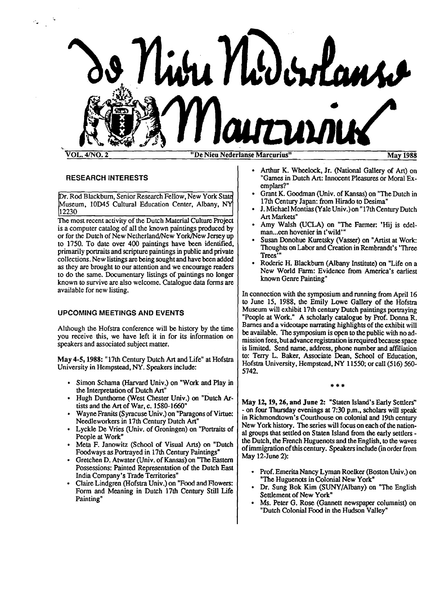

### RESEARCH INTERESTS

Dr. Rod Blackburn, Senior Research Fellow, New York State Museum, 10D45 Cultural Education Center, Albany, NY 12230

The most recent activity of the Dutch Material Culture Project is a computer catalog of all the known paintings produced by or for the Dutch of New Netherland/New York/New Jersey up to 1750. To date over 400 paintings have been identified, primarily portraits and scripture paintings in public and private collections. New listings are being sought and have been added as they are brought to our attention and we encourage readers to do the same. Documentary listings of paintings no longer known to survive are also welcome. Catalogue data forms are available for new listing.

### UPCOMING MEETINGS AND EVENTS

Although the Hofstra conference will be history by the time you receive this, we have left it in for its information on speakers and associated subject matter.

May 4-5, 1988: "17th Century Dutch Art and Life" at Hofstra University in Hempstead, NY. Speakers include:

- • Simon Schama (Harvard Univ.) on "Work and Play in the Interpretation of Dutch Art'
- Hugh Dunthorne (West Chester Univ.) on "Dutch Artists and the Art of War, c. 1580-1660"
- Wayne Franits (Syracuse Univ.) on "Paragons of Virtue: Needleworkers in 17th Century Dutch Art"
- Lyckle De Vries (Univ. of Groningen) on "Portraits of People at Work"
- Meta F. Janowitz (School of Visual Arts) on "Dutch Foodways as Portrayed in 17th Century Paintings"
- Gretchen D. Atwater (Univ. of Kansas) on "The Eastern Possessions: Painted Representation of the Dutch East India Company's Trade Territories"
- Claire Lindgren (Hofstra Univ.) on "Food and Flowers: Form and Meaning in Dutch 17th Century Still Life Painting"
- Arthur K. Wheelock, Jr. (National Gallery of Art) on "Games in Dutch Art: Innocent Pleasures or Moral Exemplars?"
- Grant K. Goodman (Univ. of Kansas) on "The Dutch in 17th Century Japan: from Hirado to Desima"
- J. Michael Montias (Yale Univ.) on "17th Century Dutch Art Markets"
- Amy Walsh (UCLA) on "The Farmer: 'Hij is edelman...een hovenier in t'wild"
- Susan Donohue Kuretsky (Vasser) on "Artist at Work: Thoughts on Labor and Creation in Rembrandt's 'Three Trees'"
- Roderic H. Blackburn (Albany Institute) on "Life on a New World Farm: Evidence from America's earliest known Genre Painting"

In connection with the symposium and running from April 16 to June 15, 1988, the Emily Lowe Gallery of the Hofstra Museum will exhibit 17th century Dutch paintings portraying "People at Work." A scholarly catalogue by Prof. Donna R. Barnes and a videotape narrating highlights of the exhibit will be available. The symposium is open to the public with no admission fees, but advance registration is required because space is limited. Send name, address, phone number and affiliation to: Terry L. Baker, Associate Dean, School of Education, Hofstra University, Hempstead, NY 11550; or call (516) 560-5742.

\*\*\*

May 12, 19, 26, and June 2: "Staten Island's Early Settlers" - on four Thursday evenings at 7:30 p.m., scholars will speak in Richmondtown's Courthouse on colonial and 19th century New York history. The series will focus on each of the national groups that settled on Staten Island from the early settlers the Dutch, the French Huguenots and the English, to the waves of immigration of this century. Speakers include (in order from May  $12$ -June  $2$ ):

- Prof. Emerita Nancy Lyman Roelker (Boston Univ.) on "The Huguenots in Colonial New York"
- Dr. Sung Bok Kim (SUNY/Albany) on "The English Settlement of New York"
- Ms. Peter G. Rose (Gannett newspaper columnist) on "Dutch Colonial Food in the Hudson Valley"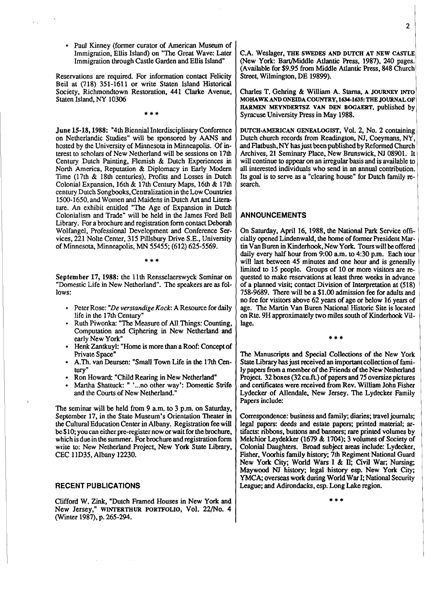• Paul Kinney (former curator of American Museum of Immigration, Ellis Island) on "The Great Wave: Later Immigration through Castle Garden and Ellis Island"

Reservations are required. For information contact Felicity Beil at (718) 351-1611 or write Staten Island Historical Society, Richmondtown Restoration, 441 Clarke Avenue, Staten Island, NY 10306

\*\*\*

June 15-18, 1988: "4th Biennial Interdisciplinary Conference on Netherlandic Studies" will be sponsored by AANS and hosted by the University of Minnesota in Minneapolis. Of interest to scholars of New Netherland will be sessions on 17th Century Dutch Painting, Flemish & Dutch Experiences in North America. Reputation & Diplomacy in Early Modem Time (l7th & 18th centuries). Profits and Losses in Dutch ColonialExpansion, 16th & 17th Century Maps, 16th & 17th century Dutch Songbooks, Centralization in the Low Countries 1500-1650, and Women and Maidens in Dutch Art and Literature. An exhibit entitled "The Age of Expansion in Dutch Colonialism and Trade" will be held in the James Ford Bell Library. For a brochure and registration form contact Deborah Wolfangel, Professional Development and Conference Services, 221 Nolte Center, 315 Pillsbury Drive S.E., University of Minnesota.Minneapolis.MN 55455; (612) 625-5569.

September 17, 1988: the 11th Rensselaerswyck Seminar on "Domestic Life in New Netherland". The speakers are as follows:

\*\*\*

- Peter Rose: "*De verstandige Kock*: A Resource for daily life in the 17th Century"
- Ruth Piwonka: "The Measure of All Things: Counting, Computation and Ciphering in New Netherland and early New York"
- Henk Zantkuyl: "Home is more than a Roof: Concept of Private Space"
- A.Th. van Deursen: "Small Town Life in the 17th Century"
- Ron Howard: "Child Rearing in New Netherland"
- Martha Shattuck: " '...no other way': Domestic Strife and the Courts of New Netherland."

The seminar will be held from 9 a.m. to 3 p.m. on Saturday, September 17, in the State Museum's Orientation Theater in the Cultural Education Center in Albany. Registration fee will be \$10; you can either pre-register now or wait for the brochure, which is due in the summer. For brochure and registration form write to: New Netherland Project, New York State Library, CEC 11035. Albany 12230.

### RECENT PUBLICATIONS

Clifford W. Zink, "Dutch Framed Houses in New York and New Jersey," WINTERTHUR PORTFOLIO, Vol. 22/No. 4 (Winter 1987), p. 265-294.

C.A. Weslager, THE SWEDES AND DUTCH AT NEW CASTLE (New York: Bart/Middle Atlantic Press, 1987), 240 pages. (Available for \$9.95 from Middle Atlantic Press, 848 Church) Street, Wilmington, DE 19899).

Charles T. Gehring & William A. Stama, A JOURNEY INTO MOHAWK AND ONEIDA COUNTRY, 1634-1635: THE JOURNAL OF RARMEN MEYNDERTSZ VAN DEN BOGAERT, published by Syracuse University Press in May 1988.

DUTCH·AMERICAN GENEALOGIST, Vol. 2, No.2 containing Dutch church records from Readington, NJ, Coeymans, NY, and Flatbush, NY has just been published by Reformed Church Archives, 21 Seminary Place, New Brunswick, NJ 08901. It will continue to appear on an irregular basis and is available to all interestedindividuals who send in an annual contribution. Its goal is to serve as a "clearing house" for Dutch family research.

### ANNOUNCEMENTS

On Saturday, April 16, 1988, the National Park Service officially opened Lindenwald, the home of former President Martin Van Buren in Kinderhook, New York. Tours will be offered daily every half hour from 9:00 a.m. to 4:30 p.m. Each tour will last between 45 minutes and one hour and is generally limited to 15 people. Groups of 10 or more visitors are requested to make reservations at least three weeks in advance of a planned visit; contact Division of Interpretation at (518) 758-9689. There will be a \$1.00 admission fee for adults and no fee for visitors above 62 years of age or below 16 yearsof age. The Martin Van Buren National Historic Site is located on Rte. 9H approximately two miles south of Kinderhook Village.

The Manuscripts and Special Collections of the New York State Library has just received an important collection of family papers from a member of the Friends of the New Netherland Project. 32 boxes (32 cu.ft.) of papers and 75 oversize pictures and certificates were received from Rev. William John Fisher Lydecker of Allendale, New Jersey. The Lydecker Family Papers include:

\*\*\*

Correspondence: business and family; diaries; travel journals; legal papers: deeds and estate papers; printed material; artifacts: ribbons, buttons and banners; rare printed volumes by Melchior Leydekker (1679  $& 1704$ ); 3 volumes of Society of Colonial Daughters. Broad subject areas include: Lydecker, Fisher, Voorhis family history; 7th Regiment National Guard New York City; World Wars I & II; Civil War; Nursing; Maywood NJ history; legal history esp. New York City; YMCA; overseas work during World War I; National Security League; and Adirondacks, esp. Long Lake region.

\*\*\*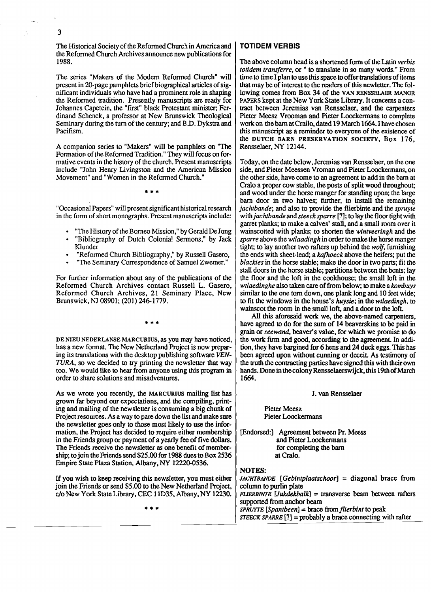The Historical Society of the Reformed Church in America and the Reformed Church Archives announce new publications for 1988.

The series "Makers of the Modem Reformed Church" will present in 20-page pamphlets brief biographical articles of significant individuals who have had a prominent role in shaping the Reformed tradition. Presently manuscripts are ready for Johannes Capetein, the "first" black Protestant minister; Ferdinand Schenck, a professor at New Brunswick Theological Seminary during the turn of the century; and B.D. Dykstra and Pacifism.

A companion series to "Makers" will be pamphlets on "The Formation of the Reformed Tradition." They will focus on formative events in the history of the church. Present manuscripts include "John Henry Livingston and the American Mission Movement" and "Women in the Reformed Church."

"Occasional Papers" will present significant historical research in the form of short monographs. Present manuscripts include:

"The History of the Borneo Mission," by Gerald De Jong

\*\*\*

- "Bibliography of Dutch Colonial Sermons," by Jack Klunder
- "Reformed Church Bibliography," by Russell Gasero,
- "The Seminary Correspondence of Samuel Zwemer."

For further information about any of the publications of the Reformed Church Archives contact Russell L. Gasero, Reformed Church Archives, 21 Seminary Place, New Brunswick,NJ 08901;(201) 246-1779.

\*\*

DE NIEU NEDERLANSE MARCURIUS, as you may have noticed, has a new format. The New Netherland Project is now preparing its translations with the desktop publishing software *VEN*-TURA, so we decided to try printing the newsletter that way too. We would like to hear from anyone using this program in order to share solutions and misadventures.

As we wrote you recently, the MARCURIUS mailing list has grown far beyond our expectations, and the compiling, printing and mailing of the newsletter is consuming a big chunk of Project resources. As a way to pare down the list and make sure the newsletter goes only to those most likely to use the information, the Project has decided to require either membership in the Friends group or payment of a yearly fee of five dollars. The Friends receive the newsletter as one benefit of membership; to join the Friends send \$25.00 for 1988 dues to Box 2536 Empire State Plaza Station, Albany, NY 12220-0536.

If you wish to keep receiving this newsletter, you must either join the Friends or send \$5.00 to the New Netherland Project. c/o New York StateLibrary,CEC 11035. Albany.NY 12230.

\*\*\*

### **TOTIDEM VERBIS**

The above column head is a shortened form of the Latin *verbis totidem transferre,* or " to translate in so many words." From time to time I plan to use this space to offer translations of items that may be of interest to the readers of this newletter. The following comes from Box 34 of the VAN RENSSELAER MANOR PAPERS kept at the New York State Library. It concerns a contract between Jeremias van Rensselaer. and the carpenters Pieter Meesz Vrooman and Pieter Loockermans to complete work on the barn at Crailo, dated 19 March 1664. I have chosen this manuscript as a reminder to everyone of the existence of the DUTCH BARN PRESERVATION SOCIETY, Box 176, Rensselaer.NY 12144.

Today, on the date below, Jeremias van Rensselaer, on the one side, and Pieter Meessen Vroman and Pieter Loockermans, on the other side, have come to an agreement to add in the barn at Cralo a proper cow stable, the posts of split wood throughout; and wood under the horse manger for standing upon; the large barn door in two halves; further, to install the remaining *jachtbande*; and also to provide the flierbinte and the *spruyte withjachtbande* and*steeck sparre* [7]; to laythefloortightwith garret planks; to make a calves' stall, and a small room over it wainscotted with planks; to shorten the *wintveeringb* and the *sparre* above the *wtlaadingh* in order to make the horse manger tight; to lay another two rafters up behind the *wolf,*furnishing the ends with sheet-lead; a *kafhoeck* above the heifers; put the *blackies* in the horse stable; make the door in two parts; fit the stall doors in the horse stable; partitions between the bents; lay the floor and the loft in the cookhouse; the small loft in the *wtlaedinghe*also takencare of from below; to makea *kombuys*  similar to the one torn down, one plank long and 10 feet wide; to fit the windows in the house's *huysie;* in the *wtlaedingh,* to wainscot the room in the small loft, and a door to the loft.

All this aforesaid work we. the above-named carpenters, have agreed to do for the sum of 14 beaverskins to be paid in grain or *seewand*, beaver's value, for which we promise to do the work firm and good. according to the agreement. In addition, they have bargined for 6 hens and 24 duck eggs. This has been agreed upon without cunning or deceit. As testimony of the truth the contracting parties have signed this with their own hands. Done in the colony Rensselaerswijck, this 19th of March 1664.

#### J. van Rensselaer

Pieter Meesz Pieter Loockermans

[Endorsed:] Agreement between Pr. Meess and Pieter Loockennans for completing the barn atCralo.

### NOTES:

*JAClfl'BANDE [Gebintplaatsclwor]* = diagonal brace from column to purlin plate *FUERBINTE* [*Jukdekbalk*] = transverse beam between rafters supported from anchor beam *SPRUYTE [Spantbeen]* = brace *fromflierbint* to peak *STEECK SPARRE* [?] = probably a brace connecting with rafter

3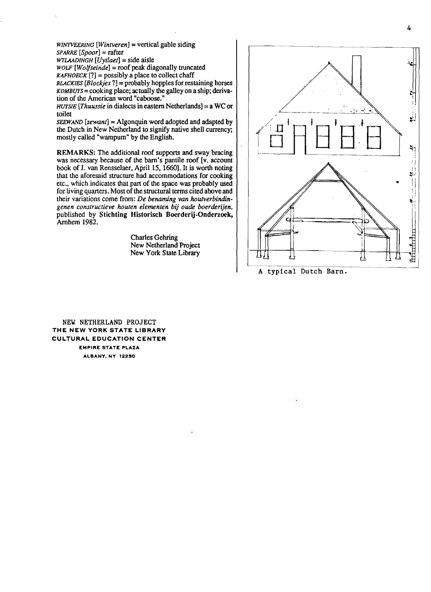$WINTVEERING$  [Wintveren] = vertical gable siding  $SPARRE$   $[Spoor] =$ **rafter**  $WTLAADINGH$  [Uytlaet] = side aisle

*WOLF* [*Wolfseinde*] = roof peak diagonally truncated  $KAFHOECK$  [?] = possibly a place to collect chaff  $BLACKIES$   $[Blockies$  ?] = probably hopples for restaining horses *KOMBUYS* = cooking place; actually the galley on a ship; derivation of the American word "caboose."

*HUYSIE* [*Thuussie* in dialects in eastern Netherlands] = a WC or toilet

 $SEEWAND$  [ $zewant$ ] = Algonquin word adopted and adapted by the Dutch in New Netherland to signify native shell currency; mostly called "wampum"by the English.

REMARKS: The additional roof supports and sway bracing was necessary because of the barn's pantile roof [v. account book of J. van Rensselaer, April 15, 1660]. It is worth noting that the aforesaid structure had accommodations for cooking etc., which indicates that part of the space was probably used for living quarters. Most of the structural terms cited above and their variations come from: De benaming van houtverbindin*genen constructieve houten elementen bij oude boerderijen,*  published by Stichting Historisch Boerderij-Onderzoek, Amhem 1982.

> Charles Gehring New Netherland Project New York State Library



A typical Dutch Barn.

NEW NETHERLAND PROJECT THE NEW YORK STATE LIBRARY CULTURAL EDUCATION CENTER EMPIRE STATE PLAZA ALBANY. NY 12230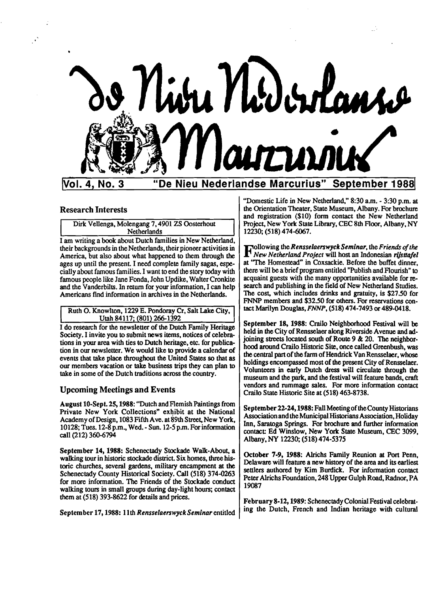

# IVai. 4, No.3 "De Nieu Nederlandse Marcurius" September 19881

### Research Interests

Dirk Vellenga, Molengang 7, 4901 ZS Oosterhout **Netherlands** 

I am writinga book about Dutch families in New Netherland, their backgrounds in the Netherlands, their pioneer activities in America, but also about what happened to them through the ages up until the present. I need complete family sagas, especially about famous families. I want to end the story today with famous people like Jane Fonda, John Updike, Walter Cronkite and the Vanderbilts. In return for your information, I can help Americans find information in archives in the Netherlands.

Ruth O. Knowlton, 1229 E. Pondoray Cr, Salt Lake City,<br>Utah 84117; (801) 266-1392

I do research for the newsletter of the Dutch Family Heritage Society. I invite you to submit news items, notices of celebrations in your area with ties to Dutch heritage, etc. for publication in our newsletter. We would like to provide a calendar of events that take place throughout the United States so that as our members vacation or take business trips they can plan to take in some of the Dutch traditions across the country.

### Upcoming Meetings and Events

August 10-Sept. 25, 1988: "Dutch and Flemish Paintings from Private New York Collections" exhibit at the National Academy of Design, 1083 Fifth Ave. at 89th Street, New York, 10128;Tues. 12-8p.m., Wed.- Sun. 12-5p.m.Forinformation call (212) 360-6794

September 14, 1988: Schenectady Stockade Walk-About, a walking tour in historic stockade district. Six homes, three historic churches, several gardens, military encampment at the Schenectady County Historical Society. Call (518) 374-0263 for more information. The Friends of the Stockade conduct walking tours in small groups during day-light hours; contact them at  $(518)$  393-8622 for details and prices.

September 17, 1988: 11th *Rensselaerswyck Seminar* entitled

"Domestic Life in New Netherland," 8:30 am. - 3:30 p.m. at the Orientation Theater, State Museum, Albany. For brochure and registration (\$10) form contact the New Netherland Project, New York State Library, CEC 8th Floor, Albany, NY 12230; (518)474-6067.

Following the*RensselaerswyckSeminar,* the *Friends ofthe NewNetherland Project* will host an Indonesian *rljsttajel*  at "The Homestead" in Coxsackie. Before the buffet dinner, there will be a brief program entitled "Publish and Flourish" to acquaint guests with the many opportunities available for research and publishing in the field of New Netherland Studies. The cost, which includes drinks and gratuity, is \$27.50 for FNNP members and \$32.50 for others. For reservations contact Marilyn Douglas, FNNP, (518) 474-7493 or 489-0418.

September 18, 1988: Crailo Neighborhood Festival will be held in the City of Rensselaer along Riverside Avenue and adjoining streets located south of Route 9  $&$  20. The neighborhood around Crailo. Historic Site, once called Greenbush, was the central part of the farm of Hendrick Van Rensselaer, whose holdings encompassed most of the present City of Rensselaer. Volunteers in early Dutch dress will circulate through the museum and the park, and the festival will feature bands, craft vendors and rummage sales. For more information contact Crailo State Historic Site at (518) 463-8738.

September 22-24, 1988: Fall Meeting of the County Historians Association and the Municipal Historians Association, Holiday Inn, Saratoga Springs. For brochure and further information contact: Ed Winslow, New York State Museum, CEC 3099, Albany,NY 12230;(518)474-5375

October 7·9, 1988: Alrichs Family Reunion at Port Penn, Delaware will feature a new history of the area and its earliest settlers authored by Kim Burdick. For information contact Peter Alrichs Foundation, 248 Upper Gulph Road, Radnor, PA 19087

February 8-12, 1989: Schenectady Colonial Festival celebrating the Dutch, French and Indian heritage with cultural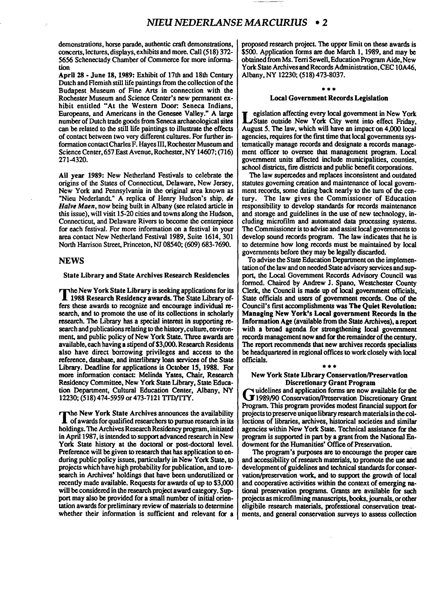demonstrations, horse parade, authentic craft demonstrations, concerts, lectures, displays, exhibits and more. Call (518) 372-5656 Schenectady Chamber of Commerce for more information

April 28 - June 18, 1989: Exhibit of 17th and 18th Century Dutch and Flemish still life paintings from the collection of the Budapest Museum of Fine Arts in connection with the Rochester Museum and Science Center's new permanent exhibit entitled "At the Western Door: Seneca Indians, Europeans, and Americans in the Genesee Valley." A large number of Dutch trade goods from Seneca archaeological sites can be related to the still life paintings to illustrate the effects of contact between two very different cultures. For further information contact Charles F. Hayes III, Rochester Museum and Science Center, 657 East Avenue, Rochester, NY 14607; (716) 271-4320.

All year 1989: New Netherland Festivals to celebrate the origins of the States of Connecticut, Delaware, New Jersey, New York and Pennsylvania in the original area known as "Nieu Nederlandt." A replica of Henry Hudson's ship. de Halve Maen, now being built in Albany (see related article in this issue), will visit 15-20 cities and towns along the Hudson, Connecticut, and Delaware Rivers to become the centerpiece for each festival. For more information on a festival in your area contact New Netherland Festival 1989, Suite 1614, 301 North Harrison Street, Princeton, NJ 08540; (609) 683-7690.

### **NEWS**

State Library and State Archives Research Residencies

The New York State Library is seeking applications for its 1988 Research Residency awards. The State Library offers these awards to recognize and encourage individual research, and to promote the use of its collections in scholarly research. The Library has a special interest in supporting research and publications relating to the history, culture, environment, and public policy of New York State. Three awards are available, each having a stipend of \$3,000. Research Residents also have direct borrowing privileges and access to the reference, database, and interlibrary loan services of the State Library. Deadline for applications is October 15, 1988. For more information contact: Melinda Yates, Chair, Research Residency Committee, New York State Library, State Education Department, Cultural Education Center. Albany, NY 12230; (518) 474-5959 or 473-7121 TTD/TTY.

The New York State Archives announces the availability of awards for qualified researchers to pursue research in its holdings. The Archives Research Residency program, initiated in April 1987, is intended to support advanced research in New York State history at the doctoral or post-doctoral level. Preference will be given to research that has application to enduring public policy issues, particularly in New York State, to projects which have high probability for publication, and to research in Archives' holdings that have been underutilized or recently made available. Requests for awards of up to \$3,000 will be considered in the research project award category. Support may also be provided for a small number of initial orientation awards for preliminary review of materials to determine whether their information is sufficient and relevant for a

proposed research project. The upper limit on these awards is \$500. Application forms are due March 1.1989, and may be obtained from Ms. Terri Sewell, Education Program Aide. New YorkStateArchives andRecordsAdministration.CEC lOA46, Albany.NY 12230; (518)473-8037.

# ••• Local Government Records Legislation

L egislation affecting every local government in New York State outside New York City went into effect Friday, August 5. The law. which will have an impact'on 4,000 local agencies, requires for the first time that local governments systematically manage records and designate a records management officer to oversee that management program. Local government units affected include municipalities, counties, school districts, fire districts and public benefit corporations.

The law supercedes and replaces inconsistent and outdated statutes governing creation and maintenance of local government records, some dating back nearly to the turn of the century. The law gives the Commissioner of Education responsibility to develop standards for records maintenance and storage and guidelines in the use of new technology, including microfilm and automated data processing systems. The Commissioner is to advise and assist local governments to develop sound records program. The law indicates that he is to determine how long records must be maintained by local governments before they may be legally discarded.

To advise the State Education Department on the implementation of the law and on needed State advisory services and support, the Local Government Records Advisory Council was formed. Chaired by Andrew J. Spano. Westchester County Clerk, the Council is made up of local government officials, State officials and users of government records. One of the Council's first accomplishments was The Quiet Revolution: Managing New York's Local government Records In the Information Age (available from the State Archives), a report with a broad agenda for strengthening local government records management now and for the remainder of the century. The report recommends that new archives records specialists be headquartered in regional offices to work closely with local officials.

# ••• New York State Library Conservation/Preservation

Discretionary Grant Program<br>idelines and application forms are now available for the Guidelines and application forms are now available for the 1989/90 Conservation/Preservation Discretionary Grant Program. This program provides modest financial support for projects to preserve unique library research materials in the collections of libraries, archives, historical societies and similar agencies within New York State. Technical assistance for the program is supported in part by a grant from the National Endowment for the Humanities' Office of Preservation.

The program's purposes are to encourage the proper care and accessibility of research materials, to promote the use and development of guidelines and technical standards for conservation/preservation work, and to support the growth of local and cooperative activities within the context of emerging national preservation programs. Grants are available for such projects as microfilming manuscripts, books, journals, or other eligibile research materials. professional conservation treatments. and general conservation surveys to assess collection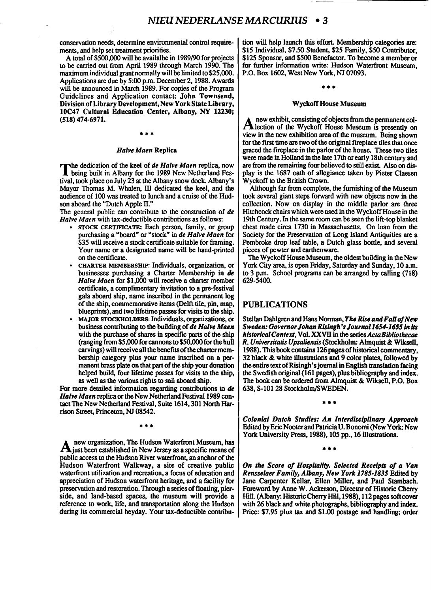conservation needs, determine environmental control requirements, and help set treatment priorities.

A total of \$500,000 will be availalbe in 1989/90 for projects to be carried out from April 1989 through March 1990. The maximum individual grant normally will be limited to \$25,000. Applications are due by 5:00 p.m. December 2, 1988. Awards will be announced in March 1989. For copies of the Program Guidelines and Application contact: John Townsend, Division of Library Development, New York State Library, 10C47 Cultural Education Center, Albany, NY 12230; (518)474-6971.

#### *Halve Maen* Replica

.\*\*

The dedication of the keel of *de Halve Maen* replica, now<br>being built in Albany for the 1989 New Netherland Festival, took place on July 23 at the Albany snow dock. Albany's Mayor Thomas M. Whalen, III dedicated the keel, and the audience of 100 was treated to lunch and a cruise of the Hudson aboard the "Dutch Apple II."

The general public can contribute to the construction of *de Halve Maen* with tax-deductible contributions as follows:

- STOCK CERTIFICATE: Each person, family, or group purchasing a "board" or "stock" in *de Halve Maen* for \$35 will receive a stock certificate suitable for framing. Your name or a designated name will be hand-printed on the certificate.
- CHARTER MEMBERSHIP: Individuals, organization, or businesses purchasing a Charter Membership in *de*  Halve Maen for \$1,000 will receive a charter member certificate, a complimentary invitation to a pre-festival gala aboard ship, name inscribed in the permanent log of the ship, commemorative items (Delft tile, pin, map, blueprints), and two lifetime passes for visits to the ship.
- MAJOR STOCKHOLDERS: Individuals, organizations, or business contributing to the building of *de Halve Maen* with the purchase of shares in specific parts of the ship (ranging from  $$5,000$  for cannons to  $$50,000$  for the hull carvings) will receive all the benefits of the charter membership category plus your name inscribed on a permanent brass plate on that part of the ship your donation helped build, four lifetime passes for visits to the ship, as well as the various rights to sail aboard ship.

For more detailed information regarding contributions to *de Halve Maen replica or the New Netherland Festival 1989 con*tact The New Netherland Festival, Suite 1614, 301 North Harrison Street, Princeton, NJ 08542.

.\*\*

A new organization, The Hudson Waterfront Museum, has just been established in New Jersey as a specific means of public access to the Hudson River waterfront, an anchor of the Hudson Waterfront Walkway, a site of creative public waterfront utilization and recreation, a focus of education and appreciation of Hudson waterfront heritage, and a facility for preservation and restoration. Through a series of floating, pierside, and land-based spaces, the museum will provide a reference to work, life, and transportation along the Hudson during its commercial heyday. Your tax-deductible contribution will help launch this effort, Membership categories are: \$15 Individual, \$7.50 Student, \$25 Family, \$50 Contributor, \$125 Sponsor, and \$500 Benefactor. To become a member or for further information write: Hudson Waterfront Museum, P.O. Box 1602, West New York, NJ 07093.

# \*\*.

#### Wyckoff House Museum

A new exhibit, consisting of objects from the permanent col-<br>Alection of the Wyckoff House Museum is presently on view in the new exhibition area of the museum. Being shown for the first time are two of the original fireplace tiles that once graced the fireplace in the parlor of the house. These two tiles were made in Holland in the late 17th or early 18th century and are from the remaining four believed to still exist. Also on display is the 1687 oath of allegiance taken by Pieter Claesen Wyckoff to the British Crown.

Although far from complete, the furnishing of the Museum took several giant steps forward with new objects now in the collection. Now on display in the middle parlor are three Hitchcock chairs which were used in the Wyckoff House in the 19th Century. In the same room can be seen the lift-top blanket chest made circa 1730 in Massachusetts. On loan from the Society for the Preservation of Long Island Antiquities are a Pembroke drop leaf table, a Dutch glass bottle, and several pieces of pewter and earthenware.

The Wyckoff House Museum, the oldest building in the New York City area, is open Friday, Saturday and Sunday, 10 a.m. to 3 p.m. School programs can be arranged by calling (718) 629-5400.

## PUBLICATIONS

Stellan Dahlgren and Hans Norman, The Rise and Fall of New *Sweden: GovernorJohanRlslngh'sJournal1654.1655* In lis *historicalContext,* Vol.XXVIIin the series*ActaBibliothecoe R. Universitatis Upsaliensis* (Stockholm: Almquist& Wiksell, 1988). This book contains 126 pages of historical commentary, 32 black  $\&$  white illustrations and 9 color plates, followed by the entire text of Risingh's journal in English translation facing the Swedish original (161 pages), plus bibliography and index. The book can be ordered from Almquist  $&$  Wiksell, P.O. Box 638, S-10128 Stockholm/SWEDEN.

*Colonial Dutch Studies: An Interdisciplinary Approach*  Edited by Eric Nooter and Patricia U. Bonomi (New York: New York University Press, 1988), 105 pp., 16 illustrations.

•• \*

•• \*

*On the Score of Hospitality. Selected Receipts of a Van Rensselaer Family, Albany, NewYork*1785·1835 Edited by Jane Carpenter Kellar, Ellen Miller, and Paul Stambach. Foreword by Anne W. Ackerson, Director of Historic Cherry Hill. (Albany: Historic Cherry Hill, 1988), 112 pages soft cover with 26 black and white photographs, bibliography and index. Price: \$7.95 plus tax and \$1.00 postage and handling; order